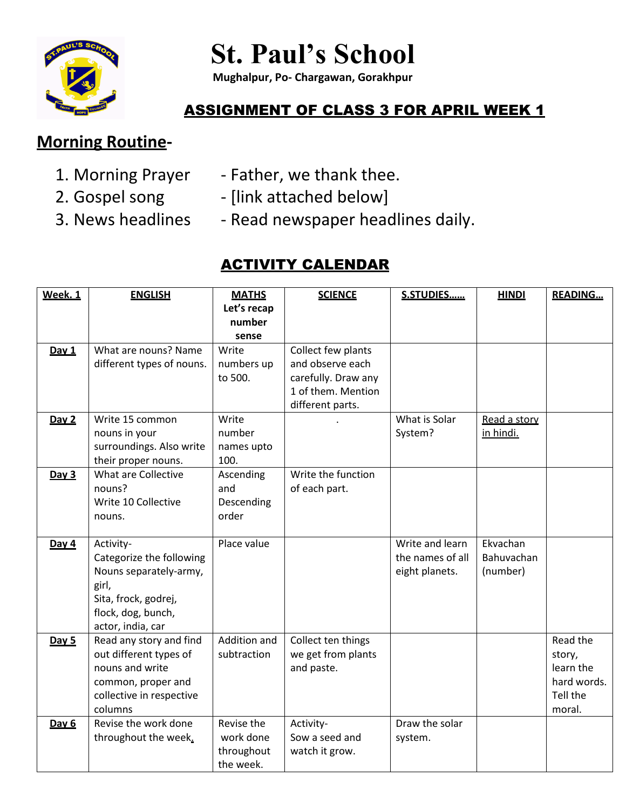

# **St. Paul's School**

**Mughalpur, Po- Chargawan, Gorakhpur**

## **ASSIGNMENT OF CLASS 3 FOR APRIL WEEK 1**

## **Morning Routine-**

- 
- 
- 
- 1. Morning Prayer Father, we thank thee.
- 2. Gospel song [link attached below]
- 3. News headlines Read newspaper headlines daily.

## **ACTIVITY CALENDAR**

| Week. 1          | <b>ENGLISH</b>            | <b>MATHS</b>   | <b>SCIENCE</b>                         | <b>S.STUDIES</b> | <b>HINDI</b> | <b>READING</b> |
|------------------|---------------------------|----------------|----------------------------------------|------------------|--------------|----------------|
|                  |                           | Let's recap    |                                        |                  |              |                |
|                  |                           | number         |                                        |                  |              |                |
|                  | What are nouns? Name      | sense<br>Write |                                        |                  |              |                |
| Day 1            |                           | numbers up     | Collect few plants<br>and observe each |                  |              |                |
|                  | different types of nouns. | to 500.        | carefully. Draw any                    |                  |              |                |
|                  |                           |                | 1 of them. Mention                     |                  |              |                |
|                  |                           |                | different parts.                       |                  |              |                |
| Day <sub>2</sub> | Write 15 common           | Write          |                                        | What is Solar    | Read a story |                |
|                  | nouns in your             | number         |                                        | System?          | in hindi.    |                |
|                  | surroundings. Also write  | names upto     |                                        |                  |              |                |
|                  | their proper nouns.       | 100.           |                                        |                  |              |                |
| Day <sub>3</sub> | What are Collective       | Ascending      | Write the function                     |                  |              |                |
|                  | nouns?                    | and            | of each part.                          |                  |              |                |
|                  | Write 10 Collective       | Descending     |                                        |                  |              |                |
|                  | nouns.                    | order          |                                        |                  |              |                |
|                  |                           |                |                                        |                  |              |                |
| Day $4$          | Activity-                 | Place value    |                                        | Write and learn  | Ekvachan     |                |
|                  | Categorize the following  |                |                                        | the names of all | Bahuvachan   |                |
|                  | Nouns separately-army,    |                |                                        | eight planets.   | (number)     |                |
|                  | girl,                     |                |                                        |                  |              |                |
|                  | Sita, frock, godrej,      |                |                                        |                  |              |                |
|                  | flock, dog, bunch,        |                |                                        |                  |              |                |
|                  | actor, india, car         |                |                                        |                  |              |                |
| Day 5            | Read any story and find   | Addition and   | Collect ten things                     |                  |              | Read the       |
|                  | out different types of    | subtraction    | we get from plants                     |                  |              | story,         |
|                  | nouns and write           |                | and paste.                             |                  |              | learn the      |
|                  | common, proper and        |                |                                        |                  |              | hard words.    |
|                  | collective in respective  |                |                                        |                  |              | Tell the       |
|                  | columns                   |                |                                        |                  |              | moral.         |
| Day 6            | Revise the work done      | Revise the     | Activity-                              | Draw the solar   |              |                |
|                  | throughout the week.      | work done      | Sow a seed and                         | system.          |              |                |
|                  |                           | throughout     | watch it grow.                         |                  |              |                |
|                  |                           | the week.      |                                        |                  |              |                |